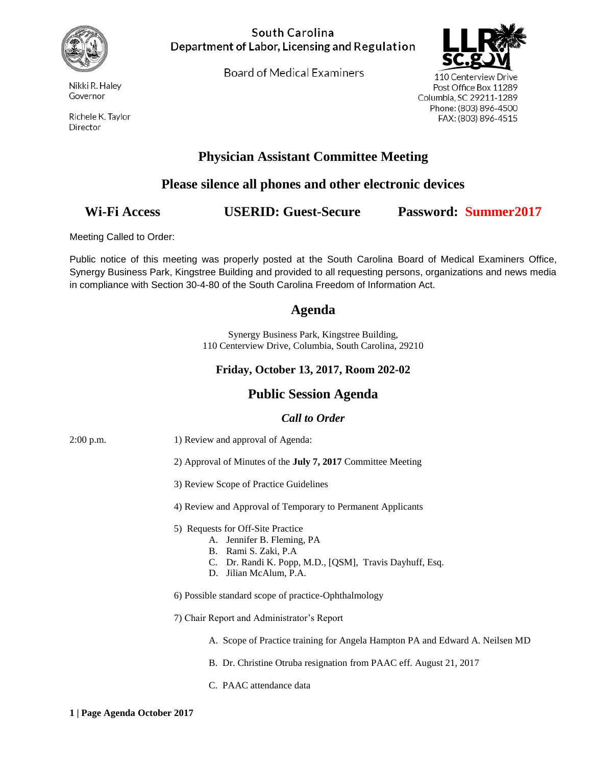

Nikki R. Haley Governor

Richele K. Taylor Director

#### South Carolina Department of Labor, Licensing and Regulation

Board of Medical Examiners



110 Centerview Drive Post Office Box 11289 Columbia, SC 29211-1289 Phone: (803) 896-4500 FAX: (803) 896-4515

# **Physician Assistant Committee Meeting**

## **Please silence all phones and other electronic devices**

# **Wi-Fi Access USERID: Guest-Secure Password: Summer2017**

Meeting Called to Order:

Public notice of this meeting was properly posted at the South Carolina Board of Medical Examiners Office, Synergy Business Park, Kingstree Building and provided to all requesting persons, organizations and news media in compliance with Section 30-4-80 of the South Carolina Freedom of Information Act.

### **Agenda**

Synergy Business Park, Kingstree Building, 110 Centerview Drive, Columbia, South Carolina, 29210

#### **Friday, October 13, 2017, Room 202-02**

## **Public Session Agenda**

#### *Call to Order*

| $2:00$ p.m. | 1) Review and approval of Agenda:                                                                                                                                             |
|-------------|-------------------------------------------------------------------------------------------------------------------------------------------------------------------------------|
|             | 2) Approval of Minutes of the <b>July 7, 2017</b> Committee Meeting                                                                                                           |
|             | 3) Review Scope of Practice Guidelines                                                                                                                                        |
|             | 4) Review and Approval of Temporary to Permanent Applicants                                                                                                                   |
|             | 5) Requests for Off-Site Practice<br>A. Jennifer B. Fleming, PA<br>B. Rami S. Zaki, P.A.<br>C. Dr. Randi K. Popp, M.D., [QSM], Travis Dayhuff, Esq.<br>D. Jilian McAlum, P.A. |
|             | 6) Possible standard scope of practice-Ophthalmology                                                                                                                          |
|             | 7) Chair Report and Administrator's Report                                                                                                                                    |
|             | A. Scope of Practice training for Angela Hampton PA and Edward A. Neilsen MD                                                                                                  |
|             | B. Dr. Christine Otruba resignation from PAAC eff. August 21, 2017                                                                                                            |
|             | C. PAAC attendance data                                                                                                                                                       |
|             |                                                                                                                                                                               |